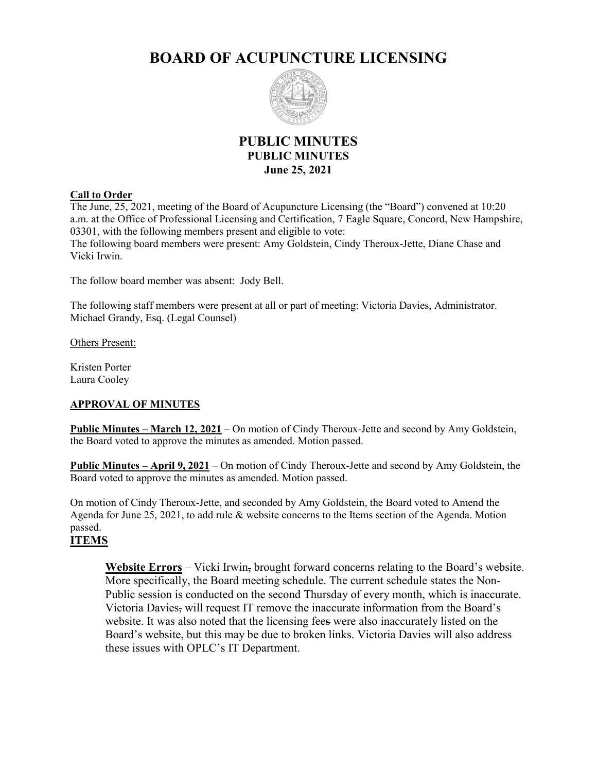# **BOARD OF ACUPUNCTURE LICENSING**



# **PUBLIC MINUTES PUBLIC MINUTES June 25, 2021**

#### **Call to Order**

The June, 25, 2021, meeting of the Board of Acupuncture Licensing (the "Board") convened at 10:20 a.m. at the Office of Professional Licensing and Certification, 7 Eagle Square, Concord, New Hampshire, 03301, with the following members present and eligible to vote:

The following board members were present: Amy Goldstein, Cindy Theroux-Jette, Diane Chase and Vicki Irwin.

The follow board member was absent: Jody Bell.

The following staff members were present at all or part of meeting: Victoria Davies, Administrator. Michael Grandy, Esq. (Legal Counsel)

Others Present:

Kristen Porter Laura Cooley

### **APPROVAL OF MINUTES**

**Public Minutes – March 12, 2021** – On motion of Cindy Theroux-Jette and second by Amy Goldstein, the Board voted to approve the minutes as amended. Motion passed.

**Public Minutes – April 9, 2021** – On motion of Cindy Theroux-Jette and second by Amy Goldstein, the Board voted to approve the minutes as amended. Motion passed.

On motion of Cindy Theroux-Jette, and seconded by Amy Goldstein, the Board voted to Amend the Agenda for June 25, 2021, to add rule & website concerns to the Items section of the Agenda. Motion passed.

## **ITEMS**

**Website Errors** – Vicki Irwin, brought forward concerns relating to the Board's website. More specifically, the Board meeting schedule. The current schedule states the Non-Public session is conducted on the second Thursday of every month, which is inaccurate. Victoria Davies, will request IT remove the inaccurate information from the Board's website. It was also noted that the licensing fees were also inaccurately listed on the Board's website, but this may be due to broken links. Victoria Davies will also address these issues with OPLC's IT Department.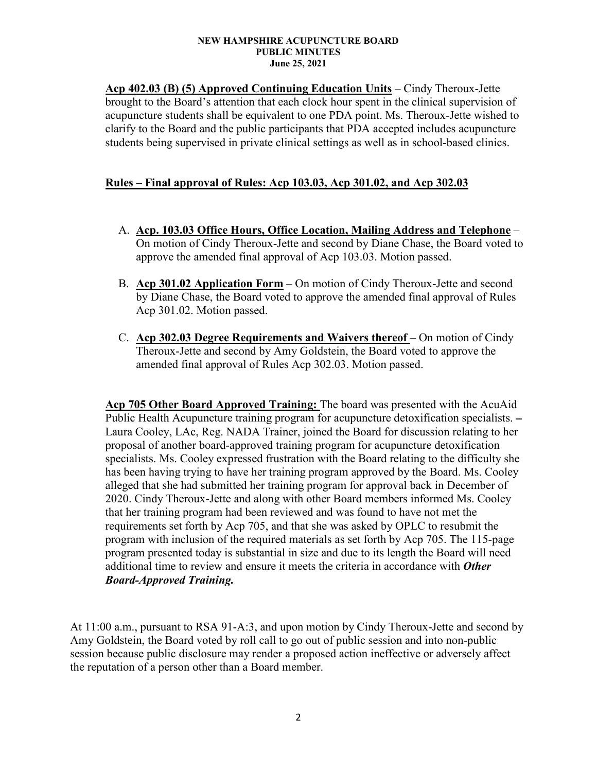#### **NEW HAMPSHIRE ACUPUNCTURE BOARD PUBLIC MINUTES June 25, 2021**

**Acp 402.03 (B) (5) Approved Continuing Education Units** – Cindy Theroux-Jette brought to the Board's attention that each clock hour spent in the clinical supervision of acupuncture students shall be equivalent to one PDA point. Ms. Theroux-Jette wished to clarify to the Board and the public participants that PDA accepted includes acupuncture students being supervised in private clinical settings as well as in school-based clinics.

## **Rules – Final approval of Rules: Acp 103.03, Acp 301.02, and Acp 302.03**

- A. **Acp. 103.03 Office Hours, Office Location, Mailing Address and Telephone** On motion of Cindy Theroux-Jette and second by Diane Chase, the Board voted to approve the amended final approval of Acp 103.03. Motion passed.
- B. **Acp 301.02 Application Form** On motion of Cindy Theroux-Jette and second by Diane Chase, the Board voted to approve the amended final approval of Rules Acp 301.02. Motion passed.
- C. **Acp 302.03 Degree Requirements and Waivers thereof** On motion of Cindy Theroux-Jette and second by Amy Goldstein, the Board voted to approve the amended final approval of Rules Acp 302.03. Motion passed.

**Acp 705 Other Board Approved Training:** The board was presented with the AcuAid Public Health Acupuncture training program for acupuncture detoxification specialists. – Laura Cooley, LAc, Reg. NADA Trainer, joined the Board for discussion relating to her proposal of another board-approved training program for acupuncture detoxification specialists. Ms. Cooley expressed frustration with the Board relating to the difficulty she has been having trying to have her training program approved by the Board. Ms. Cooley alleged that she had submitted her training program for approval back in December of 2020. Cindy Theroux-Jette and along with other Board members informed Ms. Cooley that her training program had been reviewed and was found to have not met the requirements set forth by Acp 705, and that she was asked by OPLC to resubmit the program with inclusion of the required materials as set forth by Acp 705. The 115-page program presented today is substantial in size and due to its length the Board will need additional time to review and ensure it meets the criteria in accordance with *Other Board-Approved Training.*

At 11:00 a.m., pursuant to RSA 91-A:3, and upon motion by Cindy Theroux-Jette and second by Amy Goldstein, the Board voted by roll call to go out of public session and into non-public session because public disclosure may render a proposed action ineffective or adversely affect the reputation of a person other than a Board member.